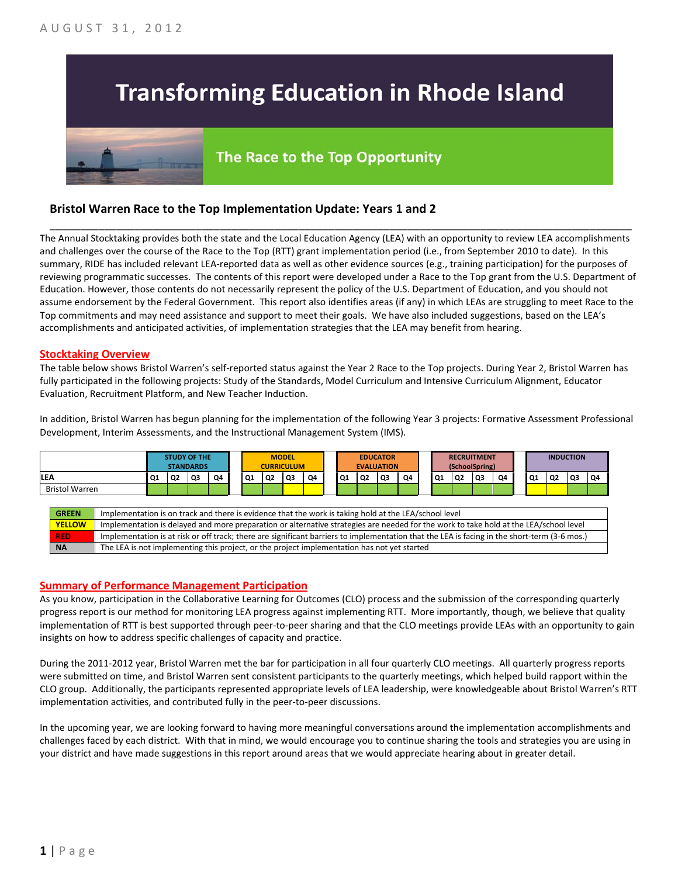## **Transforming Education in Rhode Island**

# The Race to the Top Opportunity

### **Bristol Warren Race to the Top Implementation Update: Years 1 and 2**

The Annual Stocktaking provides both the state and the Local Education Agency (LEA) with an opportunity to review LEA accomplishments and challenges over the course of the Race to the Top (RTT) grant implementation period (i.e., from September 2010 to date). In this summary, RIDE has included relevant LEA-reported data as well as other evidence sources (e.g., training participation) for the purposes of reviewing programmatic successes. The contents of this report were developed under a Race to the Top grant from the U.S. Department of Education. However, those contents do not necessarily represent the policy of the U.S. Department of Education, and you should not assume endorsement by the Federal Government. This report also identifies areas (if any) in which LEAs are struggling to meet Race to the Top commitments and may need assistance and support to meet their goals. We have also included suggestions, based on the LEA's accomplishments and anticipated activities, of implementation strategies that the LEA may benefit from hearing.

\_\_\_\_\_\_\_\_\_\_\_\_\_\_\_\_\_\_\_\_\_\_\_\_\_\_\_\_\_\_\_\_\_\_\_\_\_\_\_\_\_\_\_\_\_\_\_\_\_\_\_\_\_\_\_\_\_\_\_\_\_\_\_\_\_\_\_\_\_\_\_\_\_\_\_\_\_\_\_\_\_\_\_\_\_\_\_\_\_\_\_\_\_\_\_\_

#### **Stocktaking Overview**

The table below shows Bristol Warren's self-reported status against the Year 2 Race to the Top projects. During Year 2, Bristol Warren has fully participated in the following projects: Study of the Standards, Model Curriculum and Intensive Curriculum Alignment, Educator Evaluation, Recruitment Platform, and New Teacher Induction.

In addition, Bristol Warren has begun planning for the implementation of the following Year 3 projects: Formative Assessment Professional Development, Interim Assessments, and the Instructional Management System (IMS).



#### **Summary of Performance Management Participation**

As you know, participation in the Collaborative Learning for Outcomes (CLO) process and the submission of the corresponding quarterly progress report is our method for monitoring LEA progress against implementing RTT. More importantly, though, we believe that quality implementation of RTT is best supported through peer-to-peer sharing and that the CLO meetings provide LEAs with an opportunity to gain insights on how to address specific challenges of capacity and practice.

During the 2011-2012 year, Bristol Warren met the bar for participation in all four quarterly CLO meetings. All quarterly progress reports were submitted on time, and Bristol Warren sent consistent participants to the quarterly meetings, which helped build rapport within the CLO group. Additionally, the participants represented appropriate levels of LEA leadership, were knowledgeable about Bristol Warren's RTT implementation activities, and contributed fully in the peer-to-peer discussions.

In the upcoming year, we are looking forward to having more meaningful conversations around the implementation accomplishments and challenges faced by each district. With that in mind, we would encourage you to continue sharing the tools and strategies you are using in your district and have made suggestions in this report around areas that we would appreciate hearing about in greater detail.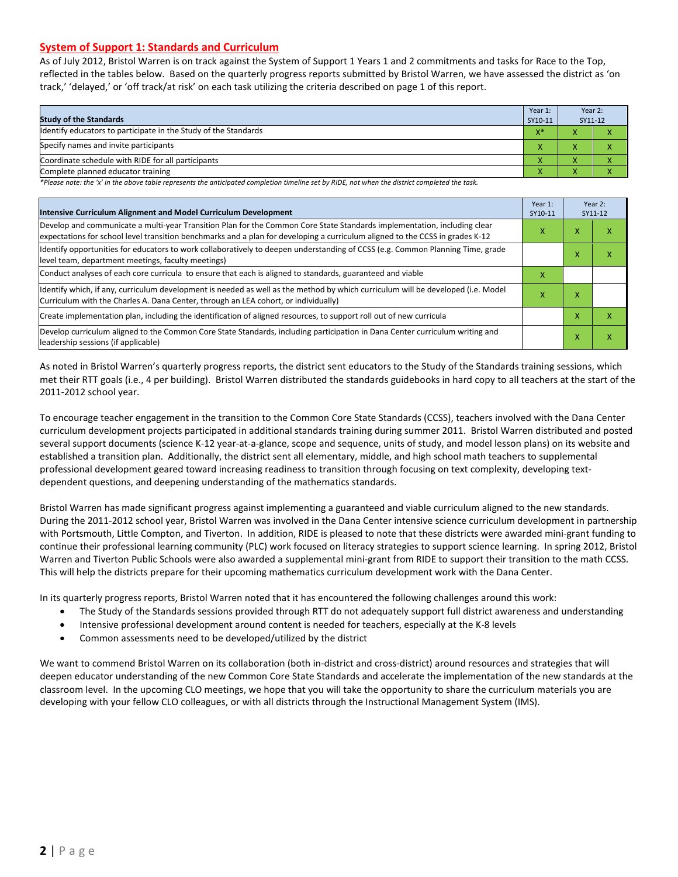#### **System of Support 1: Standards and Curriculum**

As of July 2012, Bristol Warren is on track against the System of Support 1 Years 1 and 2 commitments and tasks for Race to the Top, reflected in the tables below. Based on the quarterly progress reports submitted by Bristol Warren, we have assessed the district as 'on track,' 'delayed,' or 'off track/at risk' on each task utilizing the criteria described on page 1 of this report.

| <b>Study of the Standards</b>                                   | Year 1:<br>SY10-11 | Year 2:<br>SY11-12 |  |
|-----------------------------------------------------------------|--------------------|--------------------|--|
| Identify educators to participate in the Study of the Standards | $X^*$              |                    |  |
| Specify names and invite participants                           |                    |                    |  |
| Coordinate schedule with RIDE for all participants              |                    |                    |  |
| Complete planned educator training                              | $\mathbf{\Lambda}$ |                    |  |

*\*Please note: the 'x' in the above table represents the anticipated completion timeline set by RIDE, not when the district completed the task.*

| Intensive Curriculum Alignment and Model Curriculum Development                                                                                                                                                                                           |   |   | Year 2:<br>SY11-12 |
|-----------------------------------------------------------------------------------------------------------------------------------------------------------------------------------------------------------------------------------------------------------|---|---|--------------------|
| Develop and communicate a multi-year Transition Plan for the Common Core State Standards implementation, including clear<br>expectations for school level transition benchmarks and a plan for developing a curriculum aligned to the CCSS in grades K-12 |   |   | ⋏                  |
| Identify opportunities for educators to work collaboratively to deepen understanding of CCSS (e.g. Common Planning Time, grade<br>level team, department meetings, faculty meetings)                                                                      |   |   | χ                  |
| Conduct analyses of each core curricula to ensure that each is aligned to standards, guaranteed and viable                                                                                                                                                | X |   |                    |
| ldentify which, if any, curriculum development is needed as well as the method by which curriculum will be developed (i.e. Model<br>Curriculum with the Charles A. Dana Center, through an LEA cohort, or individually)                                   | x | x |                    |
| Create implementation plan, including the identification of aligned resources, to support roll out of new curricula                                                                                                                                       |   | x | χ                  |
| Develop curriculum aligned to the Common Core State Standards, including participation in Dana Center curriculum writing and<br>leadership sessions (if applicable)                                                                                       |   | x | χ                  |

As noted in Bristol Warren's quarterly progress reports, the district sent educators to the Study of the Standards training sessions, which met their RTT goals (i.e., 4 per building). Bristol Warren distributed the standards guidebooks in hard copy to all teachers at the start of the 2011-2012 school year.

To encourage teacher engagement in the transition to the Common Core State Standards (CCSS), teachers involved with the Dana Center curriculum development projects participated in additional standards training during summer 2011. Bristol Warren distributed and posted several support documents (science K-12 year-at-a-glance, scope and sequence, units of study, and model lesson plans) on its website and established a transition plan. Additionally, the district sent all elementary, middle, and high school math teachers to supplemental professional development geared toward increasing readiness to transition through focusing on text complexity, developing textdependent questions, and deepening understanding of the mathematics standards.

Bristol Warren has made significant progress against implementing a guaranteed and viable curriculum aligned to the new standards. During the 2011-2012 school year, Bristol Warren was involved in the Dana Center intensive science curriculum development in partnership with Portsmouth, Little Compton, and Tiverton. In addition, RIDE is pleased to note that these districts were awarded mini-grant funding to continue their professional learning community (PLC) work focused on literacy strategies to support science learning. In spring 2012, Bristol Warren and Tiverton Public Schools were also awarded a supplemental mini-grant from RIDE to support their transition to the math CCSS. This will help the districts prepare for their upcoming mathematics curriculum development work with the Dana Center.

In its quarterly progress reports, Bristol Warren noted that it has encountered the following challenges around this work:

- The Study of the Standards sessions provided through RTT do not adequately support full district awareness and understanding
- Intensive professional development around content is needed for teachers, especially at the K-8 levels
- Common assessments need to be developed/utilized by the district

We want to commend Bristol Warren on its collaboration (both in-district and cross-district) around resources and strategies that will deepen educator understanding of the new Common Core State Standards and accelerate the implementation of the new standards at the classroom level. In the upcoming CLO meetings, we hope that you will take the opportunity to share the curriculum materials you are developing with your fellow CLO colleagues, or with all districts through the Instructional Management System (IMS).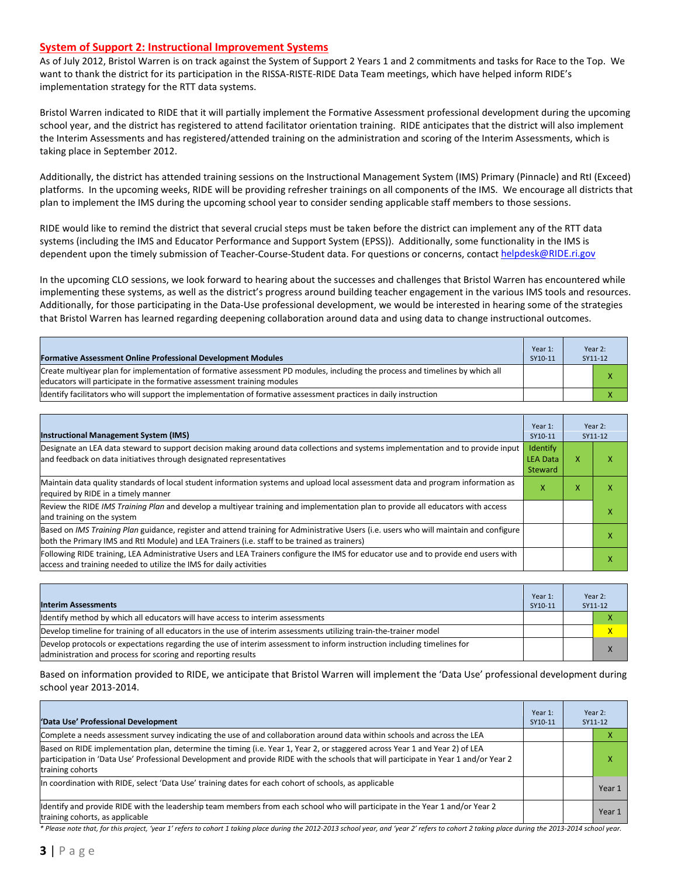#### **System of Support 2: Instructional Improvement Systems**

As of July 2012, Bristol Warren is on track against the System of Support 2 Years 1 and 2 commitments and tasks for Race to the Top. We want to thank the district for its participation in the RISSA-RISTE-RIDE Data Team meetings, which have helped inform RIDE's implementation strategy for the RTT data systems.

Bristol Warren indicated to RIDE that it will partially implement the Formative Assessment professional development during the upcoming school year, and the district has registered to attend facilitator orientation training. RIDE anticipates that the district will also implement the Interim Assessments and has registered/attended training on the administration and scoring of the Interim Assessments, which is taking place in September 2012.

Additionally, the district has attended training sessions on the Instructional Management System (IMS) Primary (Pinnacle) and RtI (Exceed) platforms. In the upcoming weeks, RIDE will be providing refresher trainings on all components of the IMS. We encourage all districts that plan to implement the IMS during the upcoming school year to consider sending applicable staff members to those sessions.

RIDE would like to remind the district that several crucial steps must be taken before the district can implement any of the RTT data systems (including the IMS and Educator Performance and Support System (EPSS)). Additionally, some functionality in the IMS is dependent upon the timely submission of Teacher-Course-Student data. For questions or concerns, contac[t helpdesk@RIDE.ri.gov](mailto:helpdesk@RIDE.ri.gov)

In the upcoming CLO sessions, we look forward to hearing about the successes and challenges that Bristol Warren has encountered while implementing these systems, as well as the district's progress around building teacher engagement in the various IMS tools and resources. Additionally, for those participating in the Data-Use professional development, we would be interested in hearing some of the strategies that Bristol Warren has learned regarding deepening collaboration around data and using data to change instructional outcomes.

| <b>Formative Assessment Online Professional Development Modules</b>                                                                                                                                      | Year 1:<br>SY10-11 | Year 2:<br>SY11-12 |
|----------------------------------------------------------------------------------------------------------------------------------------------------------------------------------------------------------|--------------------|--------------------|
| Create multivear plan for implementation of formative assessment PD modules, including the process and timelines by which all<br>educators will participate in the formative assessment training modules |                    |                    |
| Identify facilitators who will support the implementation of formative assessment practices in daily instruction                                                                                         |                    |                    |

| <b>Instructional Management System (IMS)</b>                                                                                                                                                                                           | Year 1:<br>SY10-11                            |   | Year 2:<br>SY11-12 |
|----------------------------------------------------------------------------------------------------------------------------------------------------------------------------------------------------------------------------------------|-----------------------------------------------|---|--------------------|
| Designate an LEA data steward to support decision making around data collections and systems implementation and to provide input<br>and feedback on data initiatives through designated representatives                                | <b>Identify</b><br><b>LEA Data</b><br>Steward | x |                    |
| Maintain data quality standards of local student information systems and upload local assessment data and program information as<br>required by RIDE in a timely manner                                                                | x                                             | x |                    |
| Review the RIDE IMS Training Plan and develop a multiyear training and implementation plan to provide all educators with access<br>and training on the system                                                                          |                                               |   |                    |
| Based on IMS Training Plan guidance, register and attend training for Administrative Users (i.e. users who will maintain and configure<br>both the Primary IMS and RtI Module) and LEA Trainers (i.e. staff to be trained as trainers) |                                               |   |                    |
| Following RIDE training, LEA Administrative Users and LEA Trainers configure the IMS for educator use and to provide end users with<br>access and training needed to utilize the IMS for daily activities                              |                                               |   |                    |

| <b>Interim Assessments</b>                                                                                                                                                              | Year 1:<br>SY10-11 | Year 2:<br>SY11-12 |
|-----------------------------------------------------------------------------------------------------------------------------------------------------------------------------------------|--------------------|--------------------|
| Identify method by which all educators will have access to interim assessments                                                                                                          |                    |                    |
| Develop timeline for training of all educators in the use of interim assessments utilizing train-the-trainer model                                                                      |                    | x                  |
| Develop protocols or expectations regarding the use of interim assessment to inform instruction including timelines for<br>administration and process for scoring and reporting results |                    |                    |

Based on information provided to RIDE, we anticipate that Bristol Warren will implement the 'Data Use' professional development during school year 2013-2014.

| 'Data Use' Professional Development                                                                                                                                                                                                                                                     | Year 1:<br>SY10-11 | Year 2:<br>SY11-12 |
|-----------------------------------------------------------------------------------------------------------------------------------------------------------------------------------------------------------------------------------------------------------------------------------------|--------------------|--------------------|
| Complete a needs assessment survey indicating the use of and collaboration around data within schools and across the LEA                                                                                                                                                                |                    |                    |
| Based on RIDE implementation plan, determine the timing (i.e. Year 1, Year 2, or staggered across Year 1 and Year 2) of LEA<br>participation in 'Data Use' Professional Development and provide RIDE with the schools that will participate in Year 1 and/or Year 2<br>training cohorts |                    | л                  |
| In coordination with RIDE, select 'Data Use' training dates for each cohort of schools, as applicable                                                                                                                                                                                   |                    | Year 1             |
| ldentify and provide RIDE with the leadership team members from each school who will participate in the Year 1 and/or Year 2<br>training cohorts, as applicable                                                                                                                         |                    | Year 1             |

*\* Please note that, for this project, 'year 1' refers to cohort 1 taking place during the 2012-2013 school year, and 'year 2' refers to cohort 2 taking place during the 2013-2014 school year.*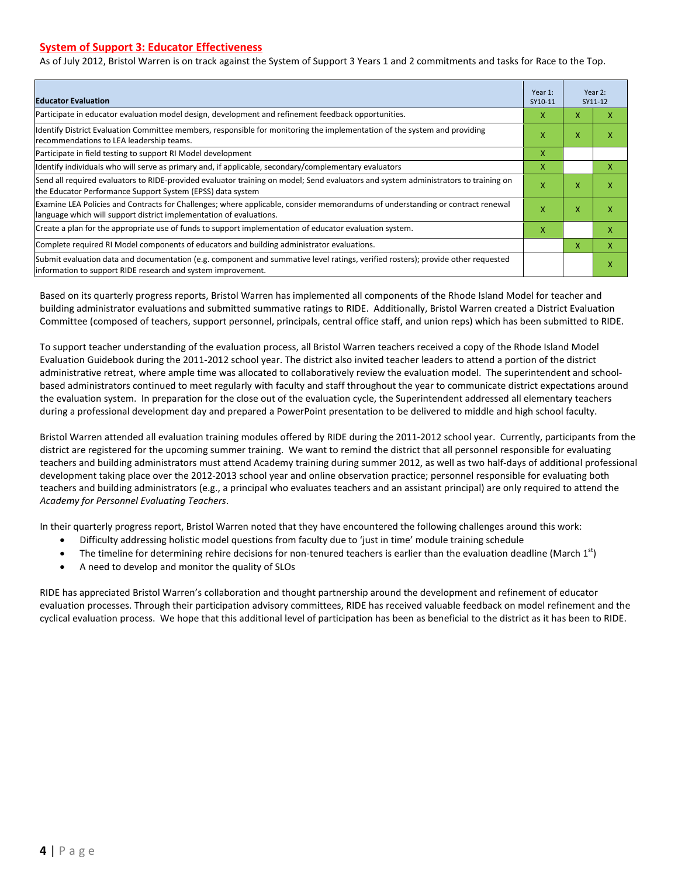#### **System of Support 3: Educator Effectiveness**

As of July 2012, Bristol Warren is on track against the System of Support 3 Years 1 and 2 commitments and tasks for Race to the Top.

| <b>Educator Evaluation</b>                                                                                                                                                                            |   |                           | Year 2:<br>SY11-12 |
|-------------------------------------------------------------------------------------------------------------------------------------------------------------------------------------------------------|---|---------------------------|--------------------|
| Participate in educator evaluation model design, development and refinement feedback opportunities.                                                                                                   | x | x                         | x                  |
| Identify District Evaluation Committee members, responsible for monitoring the implementation of the system and providing<br>recommendations to LEA leadership teams.                                 | x | X                         | x                  |
| Participate in field testing to support RI Model development                                                                                                                                          | X |                           |                    |
| Identify individuals who will serve as primary and, if applicable, secondary/complementary evaluators                                                                                                 | X |                           | x                  |
| Send all required evaluators to RIDE-provided evaluator training on model; Send evaluators and system administrators to training on<br>the Educator Performance Support System (EPSS) data system     | X | X                         | X                  |
| Examine LEA Policies and Contracts for Challenges; where applicable, consider memorandums of understanding or contract renewal<br>language which will support district implementation of evaluations. |   | $\boldsymbol{\mathsf{x}}$ | X                  |
| Create a plan for the appropriate use of funds to support implementation of educator evaluation system.                                                                                               |   |                           | X                  |
| Complete required RI Model components of educators and building administrator evaluations.                                                                                                            |   |                           | X                  |
| Submit evaluation data and documentation (e.g. component and summative level ratings, verified rosters); provide other requested<br>linformation to support RIDE research and system improvement.     |   |                           | X                  |

Based on its quarterly progress reports, Bristol Warren has implemented all components of the Rhode Island Model for teacher and building administrator evaluations and submitted summative ratings to RIDE. Additionally, Bristol Warren created a District Evaluation Committee (composed of teachers, support personnel, principals, central office staff, and union reps) which has been submitted to RIDE.

To support teacher understanding of the evaluation process, all Bristol Warren teachers received a copy of the Rhode Island Model Evaluation Guidebook during the 2011-2012 school year. The district also invited teacher leaders to attend a portion of the district administrative retreat, where ample time was allocated to collaboratively review the evaluation model. The superintendent and schoolbased administrators continued to meet regularly with faculty and staff throughout the year to communicate district expectations around the evaluation system. In preparation for the close out of the evaluation cycle, the Superintendent addressed all elementary teachers during a professional development day and prepared a PowerPoint presentation to be delivered to middle and high school faculty.

Bristol Warren attended all evaluation training modules offered by RIDE during the 2011-2012 school year. Currently, participants from the district are registered for the upcoming summer training. We want to remind the district that all personnel responsible for evaluating teachers and building administrators must attend Academy training during summer 2012, as well as two half-days of additional professional development taking place over the 2012-2013 school year and online observation practice; personnel responsible for evaluating both teachers and building administrators (e.g., a principal who evaluates teachers and an assistant principal) are only required to attend the *Academy for Personnel Evaluating Teachers*.

In their quarterly progress report, Bristol Warren noted that they have encountered the following challenges around this work:

- Difficulty addressing holistic model questions from faculty due to 'just in time' module training schedule
- The timeline for determining rehire decisions for non-tenured teachers is earlier than the evaluation deadline (March  $1<sup>st</sup>$ )
- A need to develop and monitor the quality of SLOs

RIDE has appreciated Bristol Warren's collaboration and thought partnership around the development and refinement of educator evaluation processes. Through their participation advisory committees, RIDE has received valuable feedback on model refinement and the cyclical evaluation process. We hope that this additional level of participation has been as beneficial to the district as it has been to RIDE.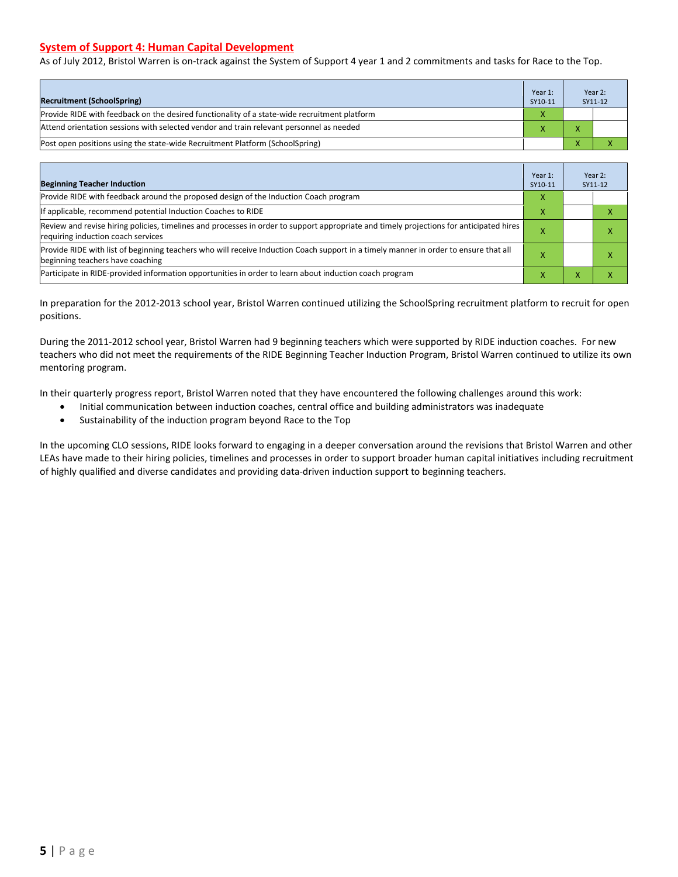#### **System of Support 4: Human Capital Development**

As of July 2012, Bristol Warren is on-track against the System of Support 4 year 1 and 2 commitments and tasks for Race to the Top.

| <b>Recruitment (SchoolSpring)</b>                                                            | Year 1:<br>SY10-11 | Year 2:<br>SY11-12 |
|----------------------------------------------------------------------------------------------|--------------------|--------------------|
| Provide RIDE with feedback on the desired functionality of a state-wide recruitment platform | X                  |                    |
| Attend orientation sessions with selected vendor and train relevant personnel as needed      |                    |                    |
| Post open positions using the state-wide Recruitment Platform (SchoolSpring)                 |                    |                    |

| <b>Beginning Teacher Induction</b>                                                                                                                                            | Year 1:<br>SY10-11 | Year 2:<br>SY11-12 |
|-------------------------------------------------------------------------------------------------------------------------------------------------------------------------------|--------------------|--------------------|
| Provide RIDE with feedback around the proposed design of the Induction Coach program                                                                                          | x                  |                    |
| If applicable, recommend potential Induction Coaches to RIDE                                                                                                                  | x                  |                    |
| Review and revise hiring policies, timelines and processes in order to support appropriate and timely projections for anticipated hires<br>requiring induction coach services |                    |                    |
| Provide RIDE with list of beginning teachers who will receive Induction Coach support in a timely manner in order to ensure that all<br>beginning teachers have coaching      |                    |                    |
| Participate in RIDE-provided information opportunities in order to learn about induction coach program                                                                        | x                  |                    |

In preparation for the 2012-2013 school year, Bristol Warren continued utilizing the SchoolSpring recruitment platform to recruit for open positions.

During the 2011-2012 school year, Bristol Warren had 9 beginning teachers which were supported by RIDE induction coaches. For new teachers who did not meet the requirements of the RIDE Beginning Teacher Induction Program, Bristol Warren continued to utilize its own mentoring program.

In their quarterly progress report, Bristol Warren noted that they have encountered the following challenges around this work:

- Initial communication between induction coaches, central office and building administrators was inadequate
- Sustainability of the induction program beyond Race to the Top

In the upcoming CLO sessions, RIDE looks forward to engaging in a deeper conversation around the revisions that Bristol Warren and other LEAs have made to their hiring policies, timelines and processes in order to support broader human capital initiatives including recruitment of highly qualified and diverse candidates and providing data-driven induction support to beginning teachers.